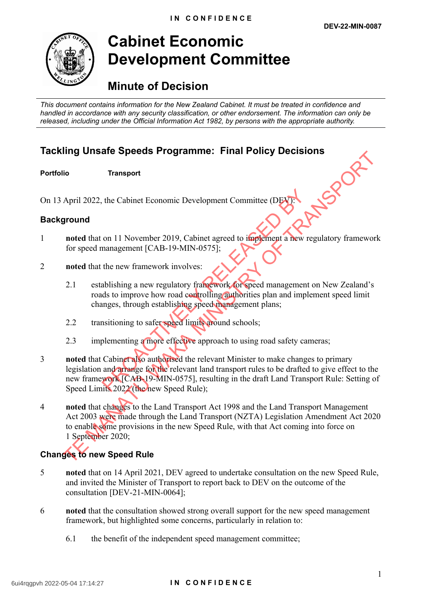

# **Cabinet Economic Development Committee**

# **Minute of Decision**

*This document contains information for the New Zealand Cabinet. It must be treated in confidence and handled in accordance with any security classification, or other endorsement. The information can only be released, including under the Official Information Act 1982, by persons with the appropriate authority.*

# **Tackling Unsafe Speeds Programme: Final Policy Decisions**<br>Portfolio Transport<br>On 13 April 2022, the Cabinet Economic Development Controller<br>Background

**Portfolio Transport**

On 13 April 2022, the Cabinet Economic Development Committee (DEV):

## **Background**

- 1 **noted** that on 11 November 2019, Cabinet agreed to implement a new regulatory framework for speed management [CAB-19-MIN-0575];
- 2 **noted** that the new framework involves:
	- 2.1 establishing a new regulatory framework for speed management on New Zealand's roads to improve how road controlling authorities plan and implement speed limit changes, through establishing speed management plans;
	- 2.2 transitioning to safer speed limits around schools;
	- 2.3 implementing a more effective approach to using road safety cameras;
- 3 **noted** that Cabinet also authorised the relevant Minister to make changes to primary legislation and arrange for the relevant land transport rules to be drafted to give effect to the new framework [CAB-19-MIN-0575], resulting in the draft Land Transport Rule: Setting of Speed Limits 2022 (the new Speed Rule); the Cabinet Economic Development Committee (DEV)<br>
on 11 November 2019, Cabinet agreed to implement a new re<br>
management [CAB-19-MIN-0575];<br>
the new framework involves:<br>
ablishing a new regulatory framework for speed manage Transport<br>
Transport<br>
April 2022, the Cabinet Economic Development Committee (DEAT<br>
April 2022, the Cabinet Economic Development Committee (DEAT<br>
Transport<br>
and that on 11 November 2019, Cabinet agreed to implement a new r
- 4 **noted** that changes to the Land Transport Act 1998 and the Land Transport Management Act 2003 were made through the Land Transport (NZTA) Legislation Amendment Act 2020 to enable some provisions in the new Speed Rule, with that Act coming into force on 1 September 2020;

# **Changes to new Speed Rule**

- 5 **noted** that on 14 April 2021, DEV agreed to undertake consultation on the new Speed Rule, and invited the Minister of Transport to report back to DEV on the outcome of the consultation [DEV-21-MIN-0064];
- 6 **noted** that the consultation showed strong overall support for the new speed management framework, but highlighted some concerns, particularly in relation to:
	- 6.1 the benefit of the independent speed management committee;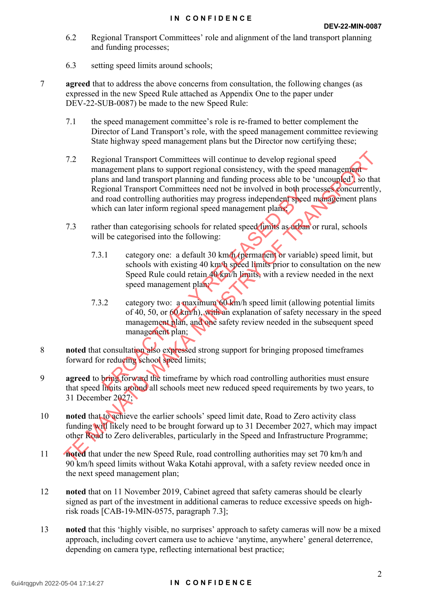- 6.2 Regional Transport Committees' role and alignment of the land transport planning and funding processes;
- 6.3 setting speed limits around schools;
- 7 **agreed** that to address the above concerns from consultation, the following changes (as expressed in the new Speed Rule attached as Appendix One to the paper under DEV-22-SUB-0087) be made to the new Speed Rule:
	- 7.1 the speed management committee's role is re-framed to better complement the Director of Land Transport's role, with the speed management committee reviewing State highway speed management plans but the Director now certifying these;
	- 7.2 Regional Transport Committees will continue to develop regional speed management plans to support regional consistency, with the speed management plans and land transport planning and funding process able to be 'uncoupled', so that Regional Transport Committees need not be involved in both processes concurrently, and road controlling authorities may progress independent speed management plans which can later inform regional speed management plans 7.2 Regional Transport Committees will continue to develop regional speed<br>management plans in support regional consistency, with the speed management<br>plans and land transport Committees meed not be involved in both proces
	- 7.3 rather than categorising schools for related speed limits as urban or rural, schools will be categorised into the following:
		- 7.3.1 category one: a default 30 km/h (permanent or variable) speed limit, but schools with existing 40 km/h speed limits prior to consultation on the new Speed Rule could retain 40 km/h limits, with a review needed in the next speed management plan;
- 7.3.2 category two: a maximum 60 km/h speed limit (allowing potential limits of 40, 50, or 60 km/h), with an explanation of safety necessary in the speed management plan, and one safety review needed in the subsequent speed management plan; Solution and the imerican beat and the image of the state of the state of the internet of the internal speed to categorism schools for related speed times as the particle of the categorism schools for related speed times a
- 8 **noted** that consultation also expressed strong support for bringing proposed timeframes forward for reducing school speed limits;
- 9 **agreed** to bring forward the timeframe by which road controlling authorities must ensure that speed limits around all schools meet new reduced speed requirements by two years, to 31 December 2027;
- 10 **noted** that to achieve the earlier schools' speed limit date, Road to Zero activity class funding will likely need to be brought forward up to 31 December 2027, which may impact other Road to Zero deliverables, particularly in the Speed and Infrastructure Programme;
- 11 **noted** that under the new Speed Rule, road controlling authorities may set 70 km/h and 90 km/h speed limits without Waka Kotahi approval, with a safety review needed once in the next speed management plan;
- 12 **noted** that on 11 November 2019, Cabinet agreed that safety cameras should be clearly signed as part of the investment in additional cameras to reduce excessive speeds on highrisk roads [CAB-19-MIN-0575, paragraph 7.3];
- 13 **noted** that this 'highly visible, no surprises' approach to safety cameras will now be a mixed approach, including covert camera use to achieve 'anytime, anywhere' general deterrence, depending on camera type, reflecting international best practice;